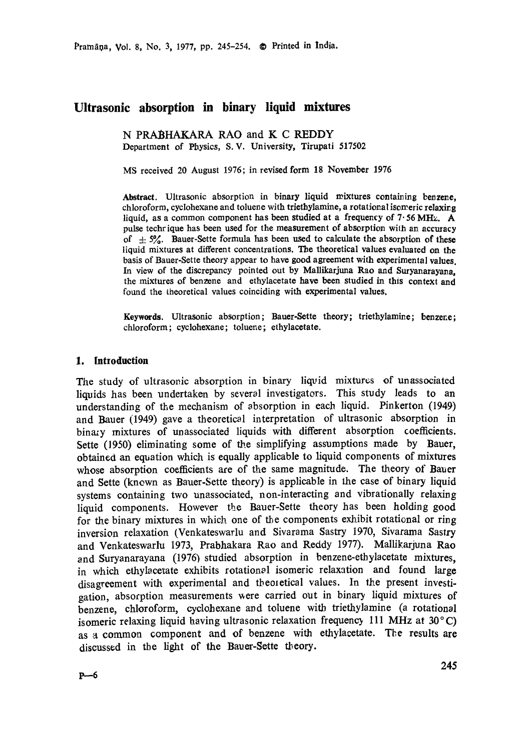Pramāņa, Vol. 8, No. 3, 1977, pp. 245-254. © Printed in India.

# **Ultrasonic absorption in binary liquid mixtures**

N PRABHAKARA RAO and K C REDDY Department of Physics, S.V. University, Tirupati 517502

MS received 20 August 1976; in revised form 18 November 1976

Abstract. Ultrasonic absorption in binary liquid mixtures containing benzene, chloroform, cyclohexane and toluene with triethylamine, a rotational isomeric relaxing liquid, as a common component has been studied at a frequency of 7.56 MHz. A pulse techrique has been used for the measurement of absorption with an accuracy of  $\pm$  5%. Bauer-Sette formula has been used to calculate the absorption of these liquid mixtures at different concentrations. The theoretical values evaluated on the basis of Bauer-Sette theory appear to have good agreement with experimental values. In view of the discrepancy pointed out by Mallikarjuna Rao and **Suryanarayana,**  the mixtures of benzene and ethylacetate have been studied in this context **and**  found the theoretical values coinciding with experimental values.

Keywords. Ultrasonic absorption; Bauer-Sette theory; triethylamine; benzene; chloroform; cyclohexane; toluene; ethylacetate.

### **1. Introduction**

The study of ultrasonic absorption in binary liqvid mixtures of unassociated liquids has been undertaken by several investigators. This study leads to an understanding of the mechanism of absorption in each liquid. Pinkerton (1949) and Bauer (1949) gave a theoretical interpretation of ultrasonic absorption in binazy mixtures of unassociated liquids with different absorption coefficients. Sette (1950) eliminating some of the simplifying assumptions made by Bauer, obtained an equation which is equally applicable to liquid components of mixtures whose absorption coefficients are of the same magnitude. The theory of Bauer and Sette (knewn as Bauer-Sette theory) is applicable in the case of binary liquid systems containing two unassociated, non-interacting and vibrationally relaxing liquid components. However the Bauer-Sette theory has been holding good for the binary mixtures in which one of the components exhibit rotational or ring inversion relaxation (Venkateswarlu and Sivarama Sastry 1970, Sivarama Sastry and Venkateswaxlu 1973, Prabhakara Rao and Reddy 1977). Mallikarjuna Rao and Suryanarayana (1976) studied absorption in benzene-ethylacetate mixtures. in which ethylacetate exhibits rotational isomeric relaxation and found large disagreement with experimental and theoretical values. In the present investigation, absorption measurements were carried out in binary liquid mixtures of benzene, chloroform, cyclohexane and toluene with triethylamine (a rotational isomeric relaxing liquid having ultrasonic relaxation frequency 111 MHz at 30°C) as a common component and of benzene with ethylacetate. The results are discussed in the light of the Bauer-gette theory.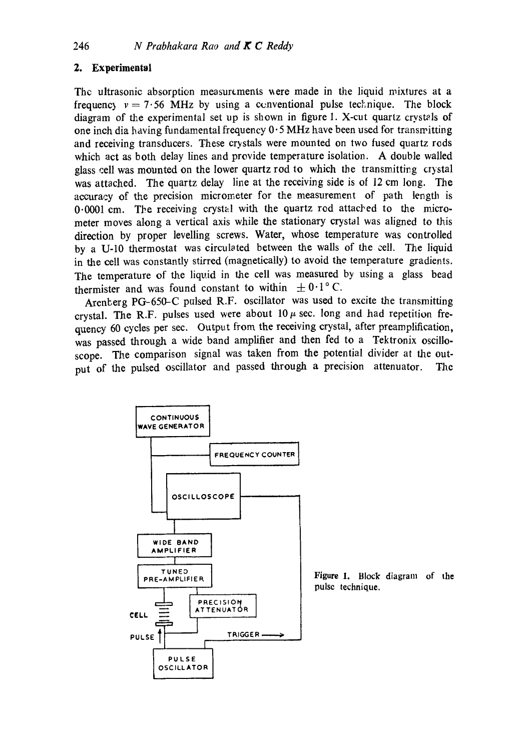## **2. Experimental**

The ultrasonic absorption measurements were made in the liquid mixtures at a frequency  $v = 7.56$  MHz by using a conventional pulse technique. The block diagram of the experimental set up is shown in figure 1. X-cut quartz crystals of one inch dia having fundamental frequency  $0.5$  MHz have been used for transmitting and receiving transducers. These crystals were mounted on two fused quartz rods which act as both delay lines and provide temperature isolation. A double walled glass cell was mounted on the lower quartz rod to which the transmitting crystal was attached. The quartz delay line at the receiving side is of 12 cm long. The accuracy of the precision micrometer for the measurement of path length is  $0.0001$  cm. The receiving crystal with the quartz rod attached to the micrometer moves along a vertical axis while the stationary crystal was aligned to this direction by proper levelling screws. Water, whose temperature was controlled by a U-10 thermostat was circulated between the walls of the cell. The liquid in the cell was constantly stirred (magnetically) to avoid the temperature gradients. The temperature of the liquid in the cell was measured by using a glass bead thermister and was found constant to within  $\pm 0.1$  ° C.

Arenberg PG-650-C pulsed R.F. oscillator was used to excite the transmitting crystal. The R.F. pulses used were about  $10 \mu$  sec. long and had repetition frequency 60 cycles per sec. Output from the receiving crystal, after preamplification, was passed through a wide band amplifier and then fed to a Tektronix oscilloscope. The comparison signal was taken from the potential divider at the output of the pulsed oscillator and passed through a precision attenuator. The



Figure 1. Block diagram of **the**  pulse technique.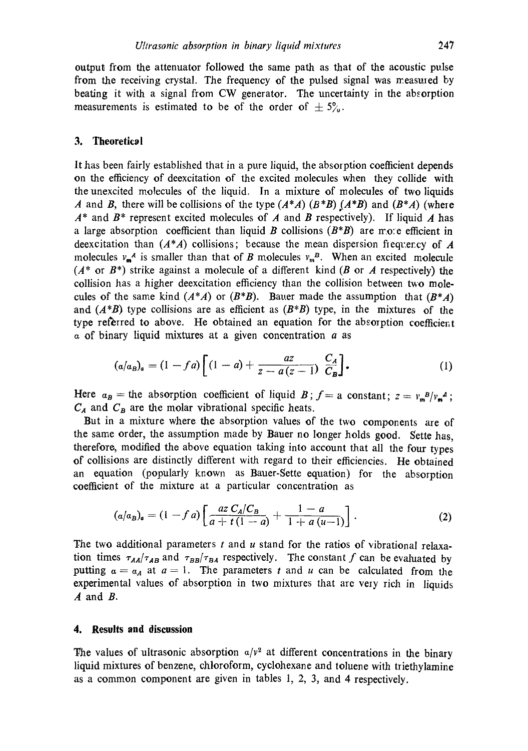output from the attenuator followed the same path as that of the acoustic pulse from the receiving crystal. The frequency of the pulsed signal was measured by beating it with a signal from CW generator. The uncertainty in the absorption measurements is estimated to be of the order of  $\pm 5\%$ .

### **3. Theoretical**

It has been fairly established that in a pure liquid, the absorption coefficient depends on the efficiency of deexcitation of the excited molecules when they collide with the unexcited molecules of the liquid. In a mixture of molecules of two liquids A and B, there will be collisions of the type  $(A^*A)$   $(B^*B)$   $(A^*B)$  and  $(B^*A)$  (where  $A^*$  and  $B^*$  represent excited molecules of A and B respectively). If liquid A has a large absorption coefficient than liquid B collisions  $(B^*B)$  are mote efficient in deexcitation than  $(A^*A)$  collisions; because the mean dispersion frequency of A molecules  $v_m^A$  is smaller than that of B molecules  $v_m^B$ . When an excited molecule  $(A^*$  or  $B^*)$  strike against a molecule of a different kind (B or A respectively) the collision has a higher deexcitation efficiency than the collision between two molecules of the same kind  $(A^*A)$  or  $(B^*B)$ . Bauer made the assumption that  $(B^*A)$ and *(A'B)* type collisions are as efficient as *(B'B)* type, in the mixtures of the type referred to above. He obtained an equation for the absorption coefficient  $\alpha$  of binary liquid mixtures at a given concentration  $\alpha$  as

$$
(a/a_B)_a = (1 - fa) \left[ (1 - a) + \frac{az}{z - a(z - 1)} \frac{C_A}{C_B} \right].
$$
 (1)

Here  $a_B$  = the absorption coefficient of liquid B;  $f = a$  constant;  $z = v_m^B/v_m^A$ ;  $C_A$  and  $C_B$  are the molar vibrational specific heats.

But in a mixture where the absorption values of the two components are of the same order, the assumption made by Bauer no longer holds good. Sette has, therefore, modified the above equation taking into account that all the four types of collisions are distinctly different with regard to their efficiencies. He obtained an equation (popularly known as Bauer-Sette equation) for the absorption coefficient of the mixture at a particular concentration as

$$
(a/a_B)_a = (1 - f a) \left[ \frac{az C_A/C_B}{a + t (1 - a)} + \frac{1 - a}{1 + a (u - 1)} \right].
$$
 (2)

The two additional parameters t and u stand for the ratios of vibrational relaxation times  $\tau_{AA}/\tau_{AB}$  and  $\tau_{BB}/\tau_{BA}$  respectively. The constant f can be evaluated by putting  $a = a_A$  at  $a = 1$ . The parameters t and u can be calculated from the experimental values of absorption in two mixtures that are very rich in liquids  $A$  and  $B$ .

#### **4. Results and discussion**

The values of ultrasonic absorption  $a/v^2$  at different concentrations in the binary liquid mixtures of benzene, chloroform, cyclohexane and toluene with triethylamine as a common component are given in tables 1, 2, 3, and 4 respectively.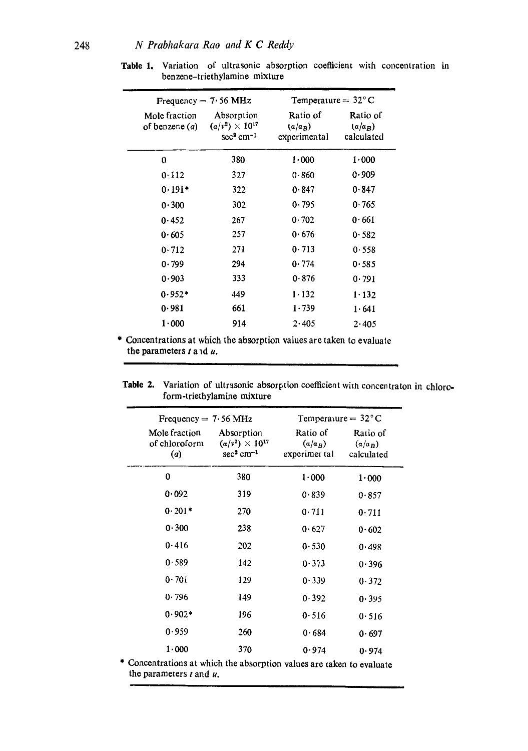| Frequency $= 7.56$ MHz          |                                                                   | Temperature $= 32^{\circ}$ C          |                                     |  |
|---------------------------------|-------------------------------------------------------------------|---------------------------------------|-------------------------------------|--|
| Mole fraction<br>of benzene (a) | Absorption<br>$(a/v^2) \times 10^{17}$<br>$sec3$ cm <sup>-1</sup> | Ratio of<br>$(a/a_B)$<br>experimental | Ratio of<br>$(a/a_B)$<br>calculated |  |
| 0                               | 380                                                               | 1.000                                 | 1.000                               |  |
| 0.112                           | 327                                                               | 0.860                                 | 0.909                               |  |
| $0.191*$                        | 322                                                               | 0.847                                 | 0.847                               |  |
| 0.300                           | 302                                                               | 0.795                                 | 0.765                               |  |
| 0.452                           | 267                                                               | 0.702                                 | 0.661                               |  |
| 0.605                           | 257                                                               | 0.676                                 | 0.582                               |  |
| 0.712                           | 271                                                               | 0.713                                 | 0.558                               |  |
| 0.799                           | 294                                                               | 0.774                                 | 0.585                               |  |
| 0.903                           | 333                                                               | 0.876                                 | 0.791                               |  |
| $0.952*$                        | 449                                                               | 1.132                                 | 1.132                               |  |
| 0.981                           | 661                                                               | 1.739                                 | 1.641                               |  |
| 1.000                           | 914                                                               | 2.405                                 | 2.405                               |  |

**Table 1.** Variation of ultrasonic absorption coefficient with concentration in benzene-triethylamine mixture

\* Concentrations at which the absorption values are taken to evaluate the parameters  $t$  and  $u$ .

Table 2. Variation of ultrasonic absorption coefficient with concentraton in chloroform-triethylamine mixture

i

| Absorption<br>$(\alpha/\nu^2) \times 10^{17}$<br>$sec2$ cm <sup>-1</sup> | Ratio of<br>$(a/a_B)$ | Ratio of                |
|--------------------------------------------------------------------------|-----------------------|-------------------------|
|                                                                          | experimer tal         | $(a/a_B)$<br>calculated |
| 380                                                                      | 1.000                 | $1 - 000$               |
| 319                                                                      | 0.839                 | 0.857                   |
| 270                                                                      | 0.711                 | 0.711                   |
| 238                                                                      | 0.627                 | 0.602                   |
| 202                                                                      | 0.530                 | 0.498                   |
| 142                                                                      | 0.373                 | 0.396                   |
| 129                                                                      | 0.339                 | 0.372                   |
| 149                                                                      | 0.392                 | 0.395                   |
| 196                                                                      | 0.516                 | 0.516                   |
| 260                                                                      | 0.684                 | 0.697                   |
| 370                                                                      | 0.974                 | 0.974                   |
|                                                                          |                       |                         |

\* Concentrations at which the absorption values are taken to evaluate the parameters  $t$  and  $u$ .

L.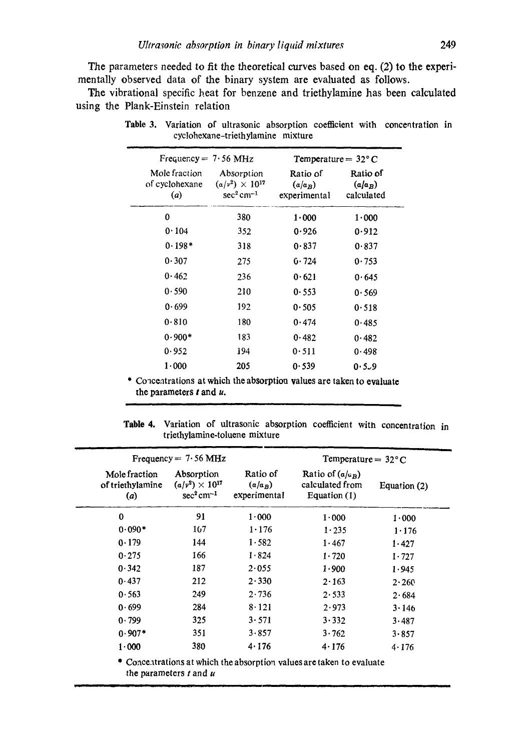The parameters needed to fit the theoretical curves based on eq. (2) to the experimentally observed data of the binary system are evaluated as follows.

The vibrational specific heat for benzene and triethylamine has been calculated using the Plank-Einstein relation

| Frequency $= 7.56$ MHz                 |                                                                     | Temperature $= 32^{\circ}$ C          |                                     |  |
|----------------------------------------|---------------------------------------------------------------------|---------------------------------------|-------------------------------------|--|
| Mole fraction<br>of cyclohexane<br>(a) | Absorption<br>$(a/\nu^2) \times 10^{17}$<br>$sec2$ cm <sup>-1</sup> | Ratio of<br>$(a/a_B)$<br>experimental | Ratio of<br>$(a/a_B)$<br>calculated |  |
| 0                                      | 380                                                                 | 1.000                                 | $1 - 000$                           |  |
| 0.104                                  | 352                                                                 | 0.926                                 | 0.912                               |  |
| $0.198*$                               | 318                                                                 | 0.837                                 | 0.837                               |  |
| 0.307                                  | 275                                                                 | 0.724                                 | 0.753                               |  |
| 0.462                                  | 236                                                                 | 0.621                                 | 0.645                               |  |
| 0.590                                  | 210                                                                 | 0.553                                 | 0.569                               |  |
| 0.699                                  | 192                                                                 | 0.505                                 | 0.518                               |  |
| 0.810                                  | 180                                                                 | 0.474                                 | 0.485                               |  |
| $0.900*$                               | 183                                                                 | 0.482                                 | 0.482                               |  |
| 0.952                                  | 194                                                                 | 0.511                                 | 0.498                               |  |
| 1.000                                  | 205                                                                 | 0.539                                 | $0.5 - 9$                           |  |

Table 3. Variation of ultrasonic absorption coefficient with concentration in cyclohexane-triethylamine mixture

\* Concentrations at which the absorption values are taken to evaluate the parameters  $t$  and  $u$ .

i

Table 4. Variation of ultrasonic absorption coefficient with concentration in t riethylamine-toluene mixture

| Mole fraction<br>of triethylamine<br>(a) | Absorption<br>$(a/\nu^2) \times 10^{17}$<br>$sec2$ cm <sup>-1</sup> | Ratio of<br>$(a/a_B)$<br>experimental | Ratio of $(a/\mu_R)$<br>calculated from<br>Equation (1)               | Equation (2) |
|------------------------------------------|---------------------------------------------------------------------|---------------------------------------|-----------------------------------------------------------------------|--------------|
| $\bf{0}$                                 | 91                                                                  | 1.000                                 | 1.000                                                                 | 1.000        |
| $0.090*$                                 | 167                                                                 | $1 \cdot 176$                         | 1.235                                                                 | 1.176        |
| 0.179                                    | 144                                                                 | 1.582                                 | 1.467                                                                 | 1.427        |
| 0.275                                    | 166                                                                 | 1.824                                 | 1.720                                                                 | 1.727        |
| 0.342                                    | 187                                                                 | 2.055                                 | 1.900                                                                 | 1.945        |
| 0.437                                    | 212                                                                 | 2.330                                 | $2 \cdot 163$                                                         | 2.260        |
| 0.563                                    | 249                                                                 | 2.736                                 | 2.533                                                                 | 2.684        |
| 0.699                                    | 284                                                                 | 8.121                                 | 2.973                                                                 | 3.146        |
| 0.799                                    | 325                                                                 | 3.571                                 | 3.332                                                                 | 3.487        |
| $0.907*$                                 | 351                                                                 | 3.857                                 | 3.762                                                                 | $3 - 857$    |
| 1.000                                    | 380                                                                 | 4.176                                 | 4.176                                                                 | 4.176        |
|                                          | the parameters t and u                                              |                                       | * Concentrations at which the absorption values are taken to evaluate |              |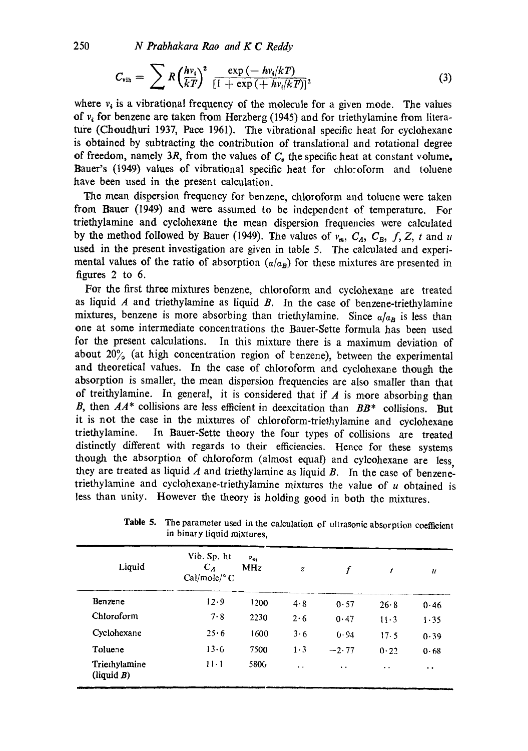250 *N Prabhakara Rao and K C Reddy* 

$$
C_{\text{vib}} = \sum R \left(\frac{h v_i}{kT}\right)^2 \frac{\exp\left(-h v_i/kT\right)}{\left[1+\exp\left(+h v_i/kT\right)\right]^2}
$$
(3)

where  $v_i$  is a vibrational frequency of the molecule for a given mode. The values of  $v<sub>i</sub>$  for benzene are taken from Herzberg (1945) and for triethylamine from literature (Choudhuri 1937, Pace 1961). The vibrational specific heat for cyclohexane is obtained by subtracting the contribution of translational and rotational degree of freedom, namely 3R, from the values of  $C<sub>v</sub>$  the specific heat at constant volume. Bauer's (1949) values of vibrational specific heat for chlo:oform and toluene have been used in the present calculation.

The mean dispersion frequency for benzene, chloroform and toluene were taken from Bauer (1949) and were assumed to be independent of temperature. For triethylamine and cyclohexane the mean dispersion frequencies were calculated by the method followed by Bauer (1949). The values of  $v_m$ ,  $C_A$ ,  $C_B$ , f, Z, t and u used in the present investigation are given in table 5. The calculated and experimental values of the ratio of absorption  $(a/a_B)$  for these mixtures are presented in figures 2 to 6.

For the first three mixtures benzene, chloroform and cyclohexane are treated as liquid  $A$  and triethylamine as liquid  $B$ . In the case of benzene-triethylamine mixtures, benzene is more absorbing than triethylamine. Since  $a/a_B$  is less than one at some intermediate concentrations the Bauer-Sette formula has been used for the present calculations. In this mixture there is a maximum deviation of about  $20\%$  (at high concentration region of benzene), between the experimental and theoretical values. In the case of chloroform and cyclohexane though the absorption is smaller, the mean dispersion frequencies are also smaller than that of treithylamine. In general, it is considered that if  $A$  is more absorbing than B, then *AA\** collisions are less efficient in deexcitation than *BB\** collisions. But it is not the case in the mixtures of chloroform-triethylamine and cyclohexane triethylamine. In Bauer-Sette theory the four types of collisions are treated distinctly different with regards to their efficiencies. Hence for these systems though the absorption of chloroform (almost equal) and cylcohexane are less, they are treated as liquid  $A$  and triethylamine as liquid  $B$ . In the case of benzenetriethylamine and cyclohexane-triethylamine mixtures the value of  $u$  obtained is less than unity. However the theory is holding good in both the mixtures.

| Liquid                     | Vib. Sp. ht<br>$C_A$<br>$Cal/mole$ <sup>o</sup> C | $\nu_m$<br><b>MHz</b> | $\boldsymbol{z}$     |                      | t                    | $\mathcal{U}$        |
|----------------------------|---------------------------------------------------|-----------------------|----------------------|----------------------|----------------------|----------------------|
| Benzene                    | 12.9                                              | 1200                  | 4.8                  | 0.57                 | 26.8                 | 0.46                 |
| Chloroform                 | 7.8                                               | 2230                  | 2.6                  | 0.47                 | $11-3$               | 1.35                 |
| Cyclohexane                | 25.6                                              | 1600                  | 3.6                  | 0.94                 | 17.5                 | 0.39                 |
| Toluene                    | 13·G                                              | 7500                  | $1 \cdot 3$          | $-2.77$              | 0.22                 | 0.68                 |
| Triethylamine<br>(iquid B) | $11 - 1$                                          | 5806                  | $\ddot{\phantom{1}}$ | $\ddot{\phantom{0}}$ | $\ddot{\phantom{1}}$ | $\ddot{\phantom{0}}$ |

Table 5. The parameter used in the calculation of ultrasonic absorption coefficient in binary liquid mixtures,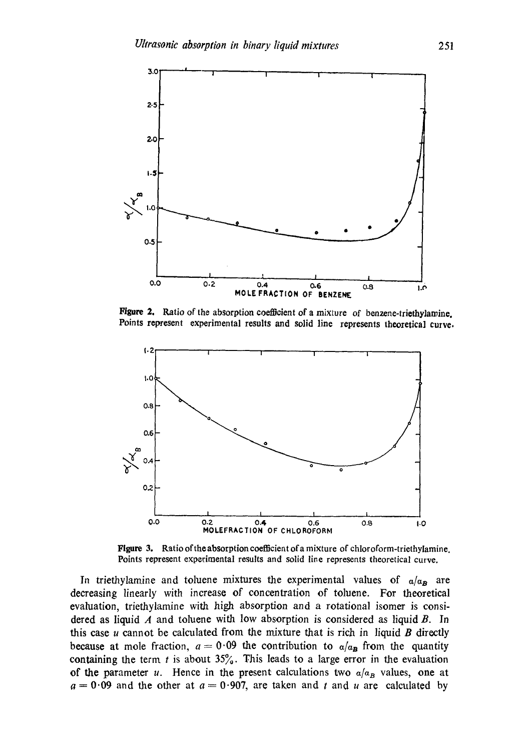

**Figure 2, Ratio of the absorptioa coefficient of a mixture of benzene-triethylamine. Points represent experimental results and solid line represents theoretical curve.** 



Figure 3. Ratio of the absorption coefficient of a mixture of chloroform-triethylamine. **Points represent experimental results and solid line represents theoretical curve.** 

In triethylamine and toluene mixtures the experimental values of  $a/\alpha_B$  are decreasing linearly with increase of concentration of toluene. For theoretical evaluation, triethylamine with high absorption and a rotational isomer is considered as liquid  $A$  and toluene with low absorption is considered as liquid  $B$ . In this case  $u$  cannot be calculated from the mixture that is rich in liquid  $B$  directly because at mole fraction,  $a=0.09$  the contribution to  $a/a_B$  from the quantity containing the term t is about  $35\%$ . This leads to a large error in the evaluation of the parameter u. Hence in the present calculations two  $a/a<sub>B</sub>$  values, one at  $a = 0.09$  and the other at  $a = 0.907$ , are taken and t and u are calculated by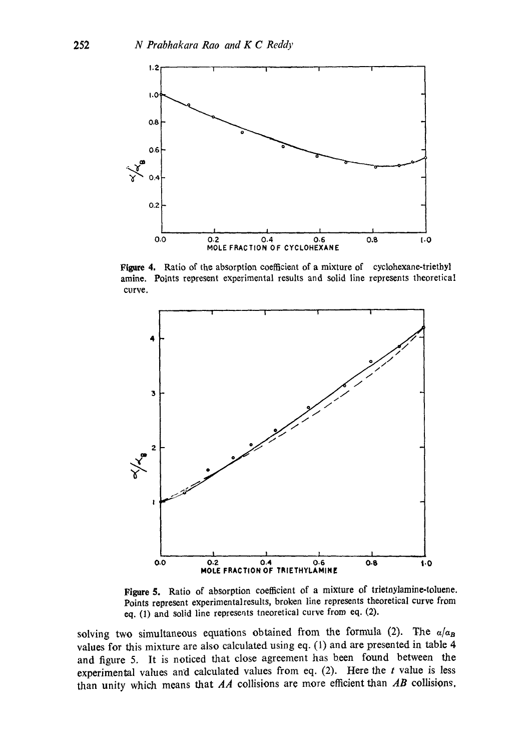

Figure 4. Ratio of the absorption coefficient of a mixture of cyclohexane-triethyl amine. Points represent experimental results and solid line represents theoretical curve.



**Figure** 5. Ratio of absorption coefficient of a mixture of trietnylamine-toluene. Points represent experimentalresults, broken line represents theoretical curve from eq. (1) and solid line represents tneoretical curve from eq. (2).

solving two simultaneous equations obtained from the formula (2). The  $a/a_B$ values for this mixture are also calculated using eq. (1) and are presented in table 4 and figure 5. It is noticed that close agreement has been found between the experimental values and calculated values from eq.  $(2)$ . Here the t value is less than unity which means that *AA* collisions are more efficient than *AB* collisions,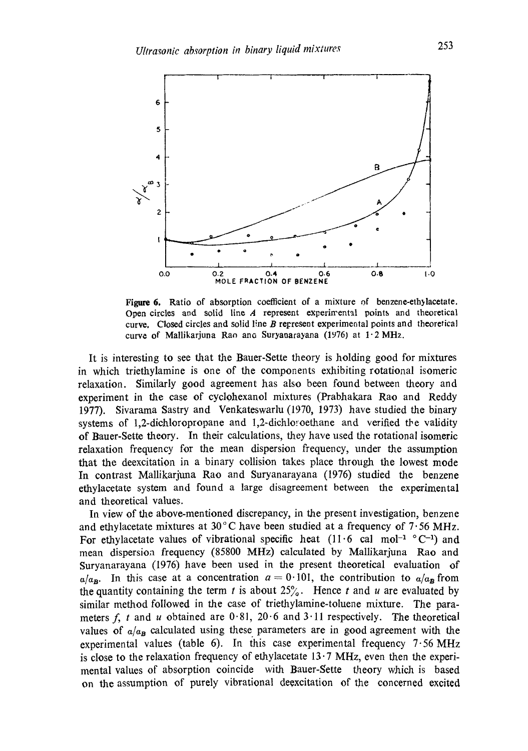

Figure 6. Ratio of absorption coefficient of a mixture of benzene-ethylacetate. Open circles and solid line A represent experimental points and theoretical curve. Closed circles and solid line  $B$  represent experimental points and theoretical curve of Mallikarjuna Rao ano Suryanarayana (1976) at  $1.2 \text{ MHz}$ .

It is interesting to see that the Bauer-Sette theory is holding good for mixtures in which triethylamine is one of the components exhibiting rotational isomeric relaxation. Similarly good agreement has also been found between theory and experiment in the case of cyclohexanol mixtures (Prabhakara Rao and Reddy 1977). Sivarama Sastry and Venkateswarlu (1970, 1973) have studied the binary systems of 1,2-dichloropropane and 1,2-dichloroethane and verified the validity of Bauer-Sette theory. In their calculations, they have used the rotational isomeric relaxation frequency for the mean dispersion frequency, under the assumption that the deexcitation in a binary collision takes place through the lowest mode In contrast Mallikarjuna Rao and Suryanarayana (1976) studied the benzene ethylacetate system and found a large disagreement between the experimental and theoretical values.

In view of the above-mentioned discrepancy, in the present investigation, benzene and ethylacetate mixtures at 30 $^{\circ}$ C have been studied at a frequency of 7.56 MHz. For ethylacetate values of vibrational specific heat  $(11.6 \text{ cal mol}^{-1} {}^{\circ}C^{-1})$  and mean dispersion frequency (85800 MHz) calculated by Mallikarjuna Rao and Suryanarayana (1976) have been used in the present theoretical evaluation of  $a/a_B$ . In this case at a concentration  $a = 0.101$ , the contribution to  $a/a_B$  from the quantity containing the term t is about  $25%$ . Hence t and u are evaluated by similar method followed in the case of triethylamine-toluene mixture. The parameters f, t and u obtained are  $0.81$ ,  $20.6$  and  $3.11$  respectively. The theoretical values of  $a/a_B$  calculated using these parameters are in good agreement with the experimental values (table 6). In this case experimental frequency  $7.56 \text{ MHz}$ is close to the relaxation frequency of ethylacetate  $13.7$  MHz, even then the experimental values of absorption coincide with Bauer-gette theory which is based on the assumption of purely vibrational deexcitation of the concerned excited